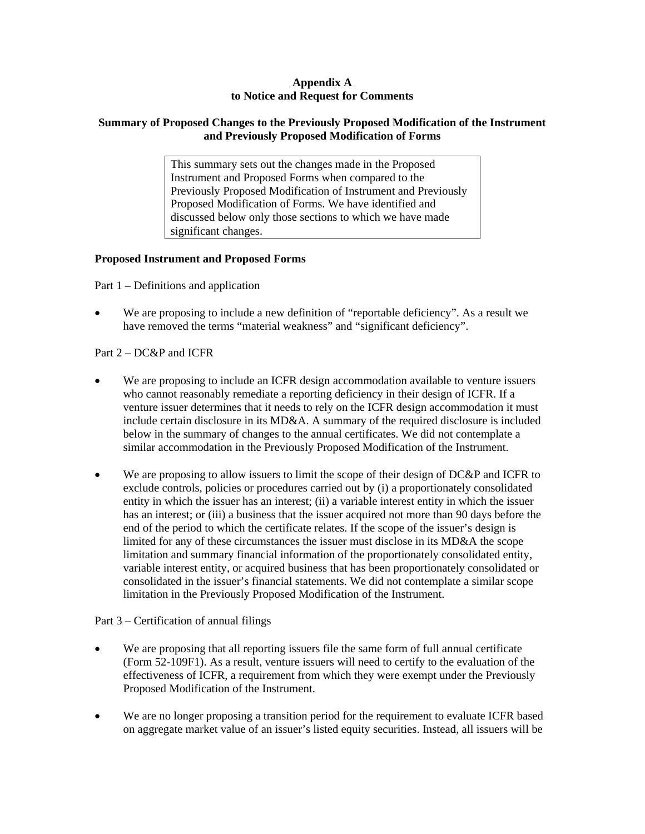## **Appendix A to Notice and Request for Comments**

# **Summary of Proposed Changes to the Previously Proposed Modification of the Instrument and Previously Proposed Modification of Forms**

This summary sets out the changes made in the Proposed Instrument and Proposed Forms when compared to the Previously Proposed Modification of Instrument and Previously Proposed Modification of Forms. We have identified and discussed below only those sections to which we have made significant changes.

## **Proposed Instrument and Proposed Forms**

Part 1 – Definitions and application

We are proposing to include a new definition of "reportable deficiency". As a result we have removed the terms "material weakness" and "significant deficiency".

# Part 2 – DC&P and ICFR

- We are proposing to include an ICFR design accommodation available to venture issuers who cannot reasonably remediate a reporting deficiency in their design of ICFR. If a venture issuer determines that it needs to rely on the ICFR design accommodation it must include certain disclosure in its MD&A. A summary of the required disclosure is included below in the summary of changes to the annual certificates. We did not contemplate a similar accommodation in the Previously Proposed Modification of the Instrument.
- We are proposing to allow issuers to limit the scope of their design of DC&P and ICFR to exclude controls, policies or procedures carried out by (i) a proportionately consolidated entity in which the issuer has an interest; (ii) a variable interest entity in which the issuer has an interest; or (iii) a business that the issuer acquired not more than 90 days before the end of the period to which the certificate relates. If the scope of the issuer's design is limited for any of these circumstances the issuer must disclose in its MD&A the scope limitation and summary financial information of the proportionately consolidated entity, variable interest entity, or acquired business that has been proportionately consolidated or consolidated in the issuer's financial statements. We did not contemplate a similar scope limitation in the Previously Proposed Modification of the Instrument.

## Part 3 – Certification of annual filings

- We are proposing that all reporting issuers file the same form of full annual certificate (Form 52-109F1). As a result, venture issuers will need to certify to the evaluation of the effectiveness of ICFR, a requirement from which they were exempt under the Previously Proposed Modification of the Instrument.
- We are no longer proposing a transition period for the requirement to evaluate ICFR based on aggregate market value of an issuer's listed equity securities. Instead, all issuers will be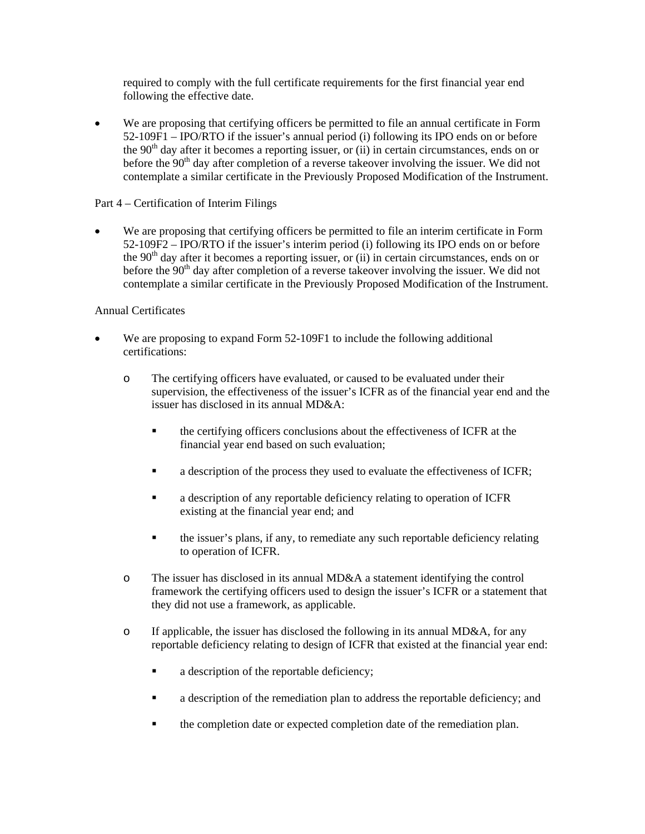required to comply with the full certificate requirements for the first financial year end following the effective date.

• We are proposing that certifying officers be permitted to file an annual certificate in Form 52-109F1 – IPO/RTO if the issuer's annual period (i) following its IPO ends on or before the  $90<sup>th</sup>$  day after it becomes a reporting issuer, or (ii) in certain circumstances, ends on or before the  $90<sup>th</sup>$  day after completion of a reverse takeover involving the issuer. We did not contemplate a similar certificate in the Previously Proposed Modification of the Instrument.

# Part 4 – Certification of Interim Filings

• We are proposing that certifying officers be permitted to file an interim certificate in Form 52-109F2 – IPO/RTO if the issuer's interim period (i) following its IPO ends on or before the  $90<sup>th</sup>$  day after it becomes a reporting issuer, or (ii) in certain circumstances, ends on or before the  $90<sup>th</sup>$  day after completion of a reverse takeover involving the issuer. We did not contemplate a similar certificate in the Previously Proposed Modification of the Instrument.

# Annual Certificates

- We are proposing to expand Form 52-109F1 to include the following additional certifications:
	- o The certifying officers have evaluated, or caused to be evaluated under their supervision, the effectiveness of the issuer's ICFR as of the financial year end and the issuer has disclosed in its annual MD&A:
		- the certifying officers conclusions about the effectiveness of ICFR at the financial year end based on such evaluation;
		- a description of the process they used to evaluate the effectiveness of ICFR;
		- a description of any reportable deficiency relating to operation of ICFR existing at the financial year end; and
		- the issuer's plans, if any, to remediate any such reportable deficiency relating to operation of ICFR.
	- o The issuer has disclosed in its annual MD&A a statement identifying the control framework the certifying officers used to design the issuer's ICFR or a statement that they did not use a framework, as applicable.
	- o If applicable, the issuer has disclosed the following in its annual MD&A, for any reportable deficiency relating to design of ICFR that existed at the financial year end:
		- **a** description of the reportable deficiency;
		- a description of the remediation plan to address the reportable deficiency; and
		- the completion date or expected completion date of the remediation plan.